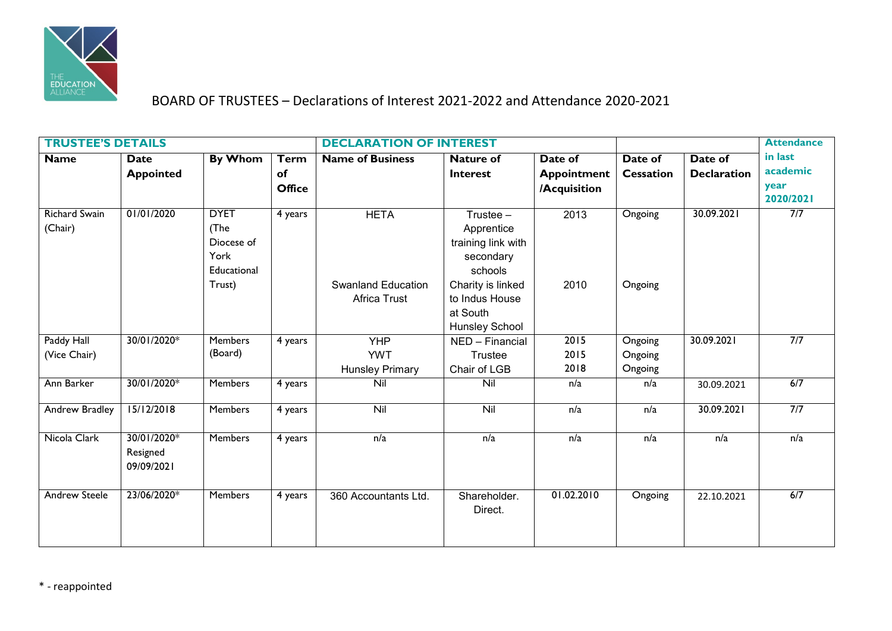

## BOARD OF TRUSTEES – Declarations of Interest 2021-2022 and Attendance 2020-2021

| <b>TRUSTEE'S DETAILS</b>        |                                       |                                                                    |                                    | <b>DECLARATION OF INTEREST</b>                     |                                                                                              |                                               |                               |                               | <b>Attendance</b>                        |
|---------------------------------|---------------------------------------|--------------------------------------------------------------------|------------------------------------|----------------------------------------------------|----------------------------------------------------------------------------------------------|-----------------------------------------------|-------------------------------|-------------------------------|------------------------------------------|
| <b>Name</b>                     | <b>Date</b><br><b>Appointed</b>       | <b>By Whom</b>                                                     | <b>Term</b><br>of<br><b>Office</b> | <b>Name of Business</b>                            | <b>Nature of</b><br><b>Interest</b>                                                          | Date of<br><b>Appointment</b><br>/Acquisition | Date of<br><b>Cessation</b>   | Date of<br><b>Declaration</b> | in last<br>academic<br>year<br>2020/2021 |
| <b>Richard Swain</b><br>(Chair) | 01/01/2020                            | <b>DYET</b><br>(The<br>Diocese of<br>York<br>Educational<br>Trust) | 4 years                            | <b>HETA</b><br><b>Swanland Education</b>           | Trustee $-$<br>Apprentice<br>training link with<br>secondary<br>schools<br>Charity is linked | 2013<br>2010                                  | Ongoing<br>Ongoing            | 30.09.2021                    | 7/7                                      |
|                                 |                                       |                                                                    |                                    | Africa Trust                                       | to Indus House<br>at South<br>Hunsley School                                                 |                                               |                               |                               |                                          |
| Paddy Hall<br>(Vice Chair)      | 30/01/2020*                           | <b>Members</b><br>(Board)                                          | 4 years                            | <b>YHP</b><br><b>YWT</b><br><b>Hunsley Primary</b> | NED - Financial<br>Trustee<br>Chair of LGB                                                   | 2015<br>2015<br>2018                          | Ongoing<br>Ongoing<br>Ongoing | 30.09.2021                    | 7/7                                      |
| Ann Barker                      | 30/01/2020*                           | <b>Members</b>                                                     | 4 years                            | Nil                                                | Nil                                                                                          | n/a                                           | n/a                           | 30.09.2021                    | 6/7                                      |
| Andrew Bradley                  | 15/12/2018                            | <b>Members</b>                                                     | 4 years                            | Nil                                                | Nil                                                                                          | n/a                                           | n/a                           | 30.09.2021                    | 7/7                                      |
| Nicola Clark                    | 30/01/2020*<br>Resigned<br>09/09/2021 | <b>Members</b>                                                     | 4 years                            | n/a                                                | n/a                                                                                          | n/a                                           | n/a                           | n/a                           | n/a                                      |
| <b>Andrew Steele</b>            | 23/06/2020*                           | <b>Members</b>                                                     | 4 years                            | 360 Accountants Ltd.                               | Shareholder.<br>Direct.                                                                      | 01.02.2010                                    | Ongoing                       | 22.10.2021                    | 6/7                                      |

\* - reappointed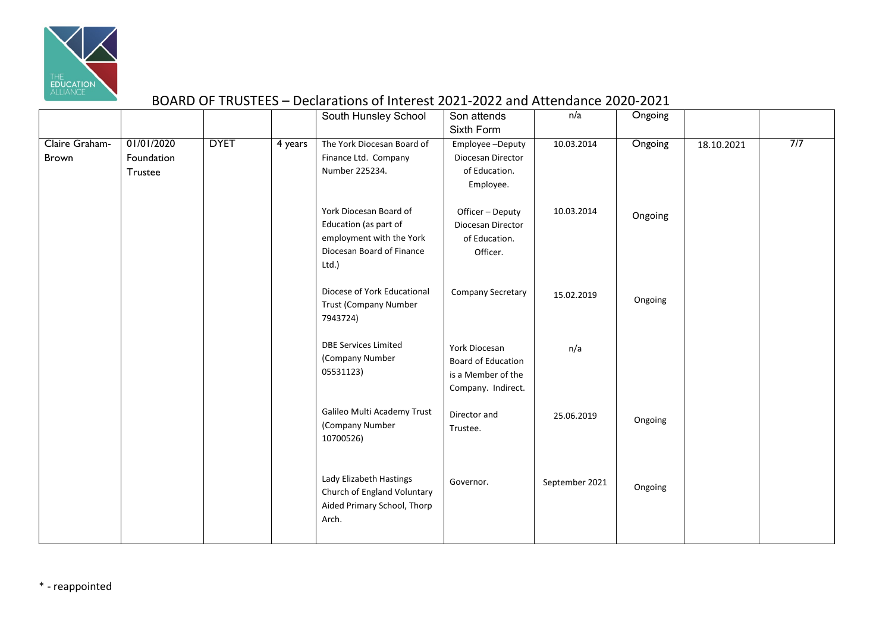

## BOARD OF TRUSTEES – Declarations of Interest 2021-2022 and Attendance 2020-2021

|                         |                                     |             |         | South Hunsley School                                                                                              | Son attends<br>Sixth Form                                                              | n/a            | Ongoing |            |     |
|-------------------------|-------------------------------------|-------------|---------|-------------------------------------------------------------------------------------------------------------------|----------------------------------------------------------------------------------------|----------------|---------|------------|-----|
| Claire Graham-<br>Brown | 01/01/2020<br>Foundation<br>Trustee | <b>DYET</b> | 4 years | The York Diocesan Board of<br>Finance Ltd. Company<br>Number 225234.                                              | Employee-Deputy<br>Diocesan Director<br>of Education.<br>Employee.                     | 10.03.2014     | Ongoing | 18.10.2021 | 7/7 |
|                         |                                     |             |         | York Diocesan Board of<br>Education (as part of<br>employment with the York<br>Diocesan Board of Finance<br>Ltd.) | Officer - Deputy<br>Diocesan Director<br>of Education.<br>Officer.                     | 10.03.2014     | Ongoing |            |     |
|                         |                                     |             |         | Diocese of York Educational<br><b>Trust (Company Number</b><br>7943724)                                           | Company Secretary                                                                      | 15.02.2019     | Ongoing |            |     |
|                         |                                     |             |         | <b>DBE Services Limited</b><br>(Company Number<br>05531123)                                                       | York Diocesan<br><b>Board of Education</b><br>is a Member of the<br>Company. Indirect. | n/a            |         |            |     |
|                         |                                     |             |         | Galileo Multi Academy Trust<br>(Company Number<br>10700526)                                                       | Director and<br>Trustee.                                                               | 25.06.2019     | Ongoing |            |     |
|                         |                                     |             |         | Lady Elizabeth Hastings<br>Church of England Voluntary<br>Aided Primary School, Thorp<br>Arch.                    | Governor.                                                                              | September 2021 | Ongoing |            |     |